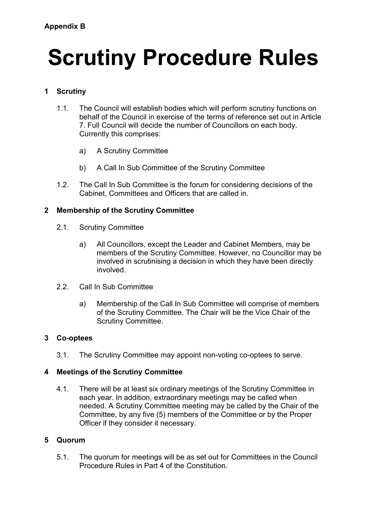# **Scrutiny Procedure Rules**

## **1 Scrutiny**

- 1.1. The Council will establish bodies which will perform scrutiny functions on behalf of the Council in exercise of the terms of reference set out in Article 7. Full Council will decide the number of Councillors on each body. Currently this comprises:
	- a) A Scrutiny Committee
	- b) A Call In Sub Committee of the Scrutiny Committee
- 1.2. The Call In Sub Committee is the forum for considering decisions of the Cabinet, Committees and Officers that are called in.

## **2 Membership of the Scrutiny Committee**

- 2.1. Scrutiny Committee
	- a) All Councillors, except the Leader and Cabinet Members, may be members of the Scrutiny Committee. However, no Councillor may be involved in scrutinising a decision in which they have been directly involved.
- 2.2. Call In Sub Committee
	- a) Membership of the Call In Sub Committee will comprise of members of the Scrutiny Committee. The Chair will be the Vice Chair of the Scrutiny Committee.

#### **3 Co-optees**

3.1. The Scrutiny Committee may appoint non-voting co-optees to serve.

## **4 Meetings of the Scrutiny Committee**

4.1. There will be at least six ordinary meetings of the Scrutiny Committee in each year. In addition, extraordinary meetings may be called when needed. A Scrutiny Committee meeting may be called by the Chair of the Committee, by any five (5) members of the Committee or by the Proper Officer if they consider it necessary.

#### **5 Quorum**

5.1. The quorum for meetings will be as set out for Committees in the Council Procedure Rules in Part 4 of the Constitution.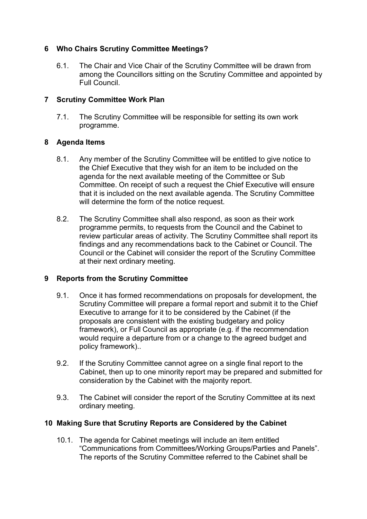## **6 Who Chairs Scrutiny Committee Meetings?**

6.1. The Chair and Vice Chair of the Scrutiny Committee will be drawn from among the Councillors sitting on the Scrutiny Committee and appointed by Full Council.

#### **7 Scrutiny Committee Work Plan**

7.1. The Scrutiny Committee will be responsible for setting its own work programme.

#### **8 Agenda Items**

- 8.1. Any member of the Scrutiny Committee will be entitled to give notice to the Chief Executive that they wish for an item to be included on the agenda for the next available meeting of the Committee or Sub Committee. On receipt of such a request the Chief Executive will ensure that it is included on the next available agenda. The Scrutiny Committee will determine the form of the notice request.
- 8.2. The Scrutiny Committee shall also respond, as soon as their work programme permits, to requests from the Council and the Cabinet to review particular areas of activity. The Scrutiny Committee shall report its findings and any recommendations back to the Cabinet or Council. The Council or the Cabinet will consider the report of the Scrutiny Committee at their next ordinary meeting.

## **9 Reports from the Scrutiny Committee**

- 9.1. Once it has formed recommendations on proposals for development, the Scrutiny Committee will prepare a formal report and submit it to the Chief Executive to arrange for it to be considered by the Cabinet (if the proposals are consistent with the existing budgetary and policy framework), or Full Council as appropriate (e.g. if the recommendation would require a departure from or a change to the agreed budget and policy framework)..
- 9.2. If the Scrutiny Committee cannot agree on a single final report to the Cabinet, then up to one minority report may be prepared and submitted for consideration by the Cabinet with the majority report.
- 9.3. The Cabinet will consider the report of the Scrutiny Committee at its next ordinary meeting.

#### **10 Making Sure that Scrutiny Reports are Considered by the Cabinet**

10.1. The agenda for Cabinet meetings will include an item entitled "Communications from Committees/Working Groups/Parties and Panels". The reports of the Scrutiny Committee referred to the Cabinet shall be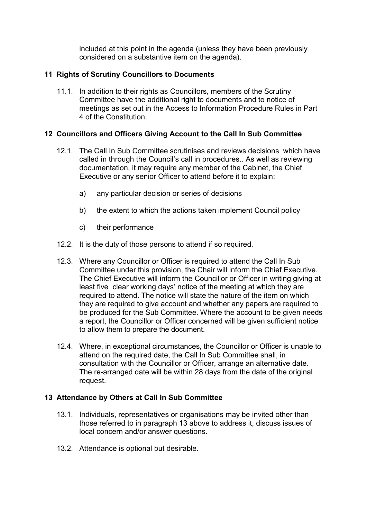included at this point in the agenda (unless they have been previously considered on a substantive item on the agenda).

## **11 Rights of Scrutiny Councillors to Documents**

11.1. In addition to their rights as Councillors, members of the Scrutiny Committee have the additional right to documents and to notice of meetings as set out in the Access to Information Procedure Rules in Part 4 of the Constitution.

#### **12 Councillors and Officers Giving Account to the Call In Sub Committee**

- 12.1. The Call In Sub Committee scrutinises and reviews decisions which have called in through the Council's call in procedures.. As well as reviewing documentation, it may require any member of the Cabinet, the Chief Executive or any senior Officer to attend before it to explain:
	- a) any particular decision or series of decisions
	- b) the extent to which the actions taken implement Council policy
	- c) their performance
- 12.2. It is the duty of those persons to attend if so required.
- 12.3. Where any Councillor or Officer is required to attend the Call In Sub Committee under this provision, the Chair will inform the Chief Executive. The Chief Executive will inform the Councillor or Officer in writing giving at least five clear working days' notice of the meeting at which they are required to attend. The notice will state the nature of the item on which they are required to give account and whether any papers are required to be produced for the Sub Committee. Where the account to be given needs a report, the Councillor or Officer concerned will be given sufficient notice to allow them to prepare the document.
- 12.4. Where, in exceptional circumstances, the Councillor or Officer is unable to attend on the required date, the Call In Sub Committee shall, in consultation with the Councillor or Officer, arrange an alternative date. The re-arranged date will be within 28 days from the date of the original request.

#### **13 Attendance by Others at Call In Sub Committee**

- 13.1. Individuals, representatives or organisations may be invited other than those referred to in paragraph 13 above to address it, discuss issues of local concern and/or answer questions.
- 13.2. Attendance is optional but desirable.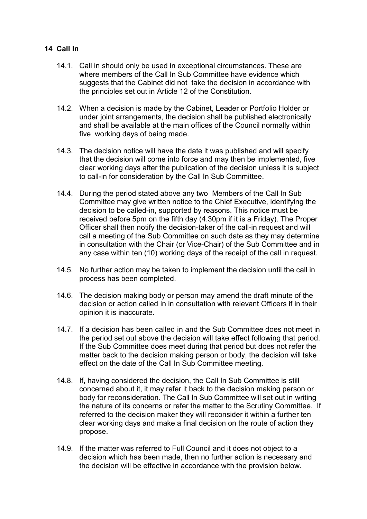## **14 Call In**

- 14.1. Call in should only be used in exceptional circumstances. These are where members of the Call In Sub Committee have evidence which suggests that the Cabinet did not take the decision in accordance with the principles set out in Article 12 of the Constitution.
- 14.2. When a decision is made by the Cabinet, Leader or Portfolio Holder or under joint arrangements, the decision shall be published electronically and shall be available at the main offices of the Council normally within five working days of being made.
- 14.3. The decision notice will have the date it was published and will specify that the decision will come into force and may then be implemented, five clear working days after the publication of the decision unless it is subject to call-in for consideration by the Call In Sub Committee.
- 14.4. During the period stated above any two Members of the Call In Sub Committee may give written notice to the Chief Executive, identifying the decision to be called-in, supported by reasons. This notice must be received before 5pm on the fifth day (4.30pm if it is a Friday). The Proper Officer shall then notify the decision-taker of the call-in request and will call a meeting of the Sub Committee on such date as they may determine in consultation with the Chair (or Vice-Chair) of the Sub Committee and in any case within ten (10) working days of the receipt of the call in request.
- 14.5. No further action may be taken to implement the decision until the call in process has been completed.
- 14.6. The decision making body or person may amend the draft minute of the decision or action called in in consultation with relevant Officers if in their opinion it is inaccurate.
- 14.7. If a decision has been called in and the Sub Committee does not meet in the period set out above the decision will take effect following that period. If the Sub Committee does meet during that period but does not refer the matter back to the decision making person or body, the decision will take effect on the date of the Call In Sub Committee meeting.
- 14.8. If, having considered the decision, the Call In Sub Committee is still concerned about it, it may refer it back to the decision making person or body for reconsideration. The Call In Sub Committee will set out in writing the nature of its concerns or refer the matter to the Scrutiny Committee. If referred to the decision maker they will reconsider it within a further ten clear working days and make a final decision on the route of action they propose.
- 14.9. If the matter was referred to Full Council and it does not object to a decision which has been made, then no further action is necessary and the decision will be effective in accordance with the provision below.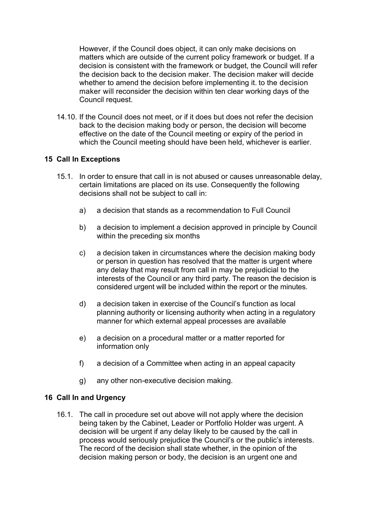However, if the Council does object, it can only make decisions on matters which are outside of the current policy framework or budget. If a decision is consistent with the framework or budget, the Council will refer the decision back to the decision maker. The decision maker will decide whether to amend the decision before implementing it. to the decision maker will reconsider the decision within ten clear working days of the Council request.

14.10. If the Council does not meet, or if it does but does not refer the decision back to the decision making body or person, the decision will become effective on the date of the Council meeting or expiry of the period in which the Council meeting should have been held, whichever is earlier.

## **15 Call In Exceptions**

- 15.1. In order to ensure that call in is not abused or causes unreasonable delay, certain limitations are placed on its use. Consequently the following decisions shall not be subject to call in:
	- a) a decision that stands as a recommendation to Full Council
	- b) a decision to implement a decision approved in principle by Council within the preceding six months
	- c) a decision taken in circumstances where the decision making body or person in question has resolved that the matter is urgent where any delay that may result from call in may be prejudicial to the interests of the Council or any third party. The reason the decision is considered urgent will be included within the report or the minutes.
	- d) a decision taken in exercise of the Council's function as local planning authority or licensing authority when acting in a regulatory manner for which external appeal processes are available
	- e) a decision on a procedural matter or a matter reported for information only
	- f) a decision of a Committee when acting in an appeal capacity
	- g) any other non-executive decision making.

## **16 Call In and Urgency**

16.1. The call in procedure set out above will not apply where the decision being taken by the Cabinet, Leader or Portfolio Holder was urgent. A decision will be urgent if any delay likely to be caused by the call in process would seriously prejudice the Council's or the public's interests. The record of the decision shall state whether, in the opinion of the decision making person or body, the decision is an urgent one and